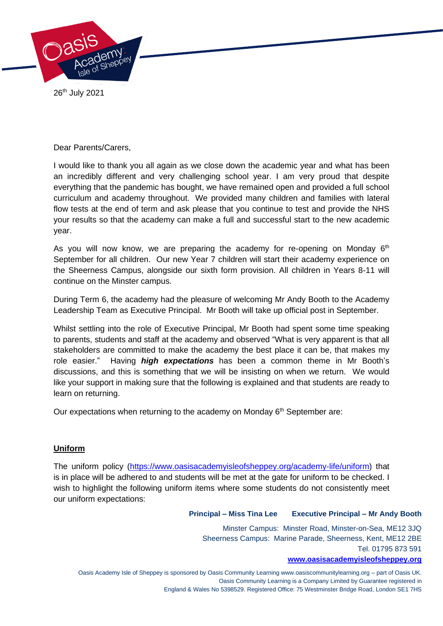

26th July 2021

Dear Parents/Carers,

I would like to thank you all again as we close down the academic year and what has been an incredibly different and very challenging school year. I am very proud that despite everything that the pandemic has bought, we have remained open and provided a full school curriculum and academy throughout. We provided many children and families with lateral flow tests at the end of term and ask please that you continue to test and provide the NHS your results so that the academy can make a full and successful start to the new academic year.

As you will now know, we are preparing the academy for re-opening on Monday  $6<sup>th</sup>$ September for all children. Our new Year 7 children will start their academy experience on the Sheerness Campus, alongside our sixth form provision. All children in Years 8-11 will continue on the Minster campus.

During Term 6, the academy had the pleasure of welcoming Mr Andy Booth to the Academy Leadership Team as Executive Principal. Mr Booth will take up official post in September.

Whilst settling into the role of Executive Principal, Mr Booth had spent some time speaking to parents, students and staff at the academy and observed "What is very apparent is that all stakeholders are committed to make the academy the best place it can be, that makes my role easier." Having *high expectations* has been a common theme in Mr Booth's discussions, and this is something that we will be insisting on when we return. We would like your support in making sure that the following is explained and that students are ready to learn on returning.

Our expectations when returning to the academy on Monday  $6<sup>th</sup>$  September are:

# **Uniform**

The uniform policy [\(https://www.oasisacademyisleofsheppey.org/academy-life/uniform\)](https://www.oasisacademyisleofsheppey.org/academy-life/uniform) that is in place will be adhered to and students will be met at the gate for uniform to be checked. I wish to highlight the following uniform items where some students do not consistently meet our uniform expectations:

**Principal – Miss Tina Lee Executive Principal – Mr Andy Booth**

Minster Campus: Minster Road, Minster-on-Sea, ME12 3JQ Sheerness Campus: Marine Parade, Sheerness, Kent, ME12 2BE Tel. 01795 873 591

**[www.oasisacademyisleofsheppey.org](http://www.oasisacademyisleofsheppey.org/)**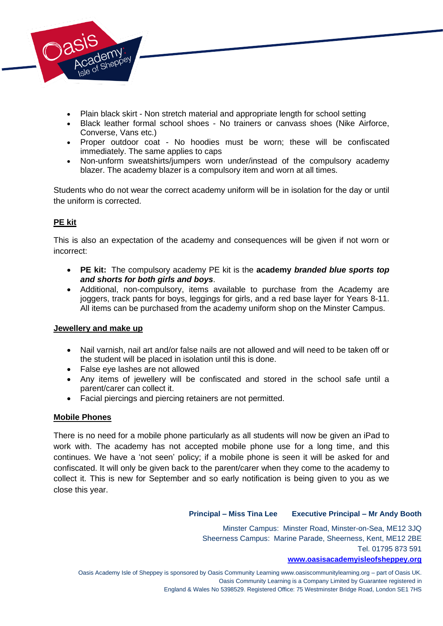

- Plain black skirt Non stretch material and appropriate length for school setting
- Black leather formal school shoes No trainers or canvass shoes (Nike Airforce, Converse, Vans etc.)
- Proper outdoor coat No hoodies must be worn; these will be confiscated immediately. The same applies to caps
- Non-unform sweatshirts/jumpers worn under/instead of the compulsory academy blazer. The academy blazer is a compulsory item and worn at all times.

Students who do not wear the correct academy uniform will be in isolation for the day or until the uniform is corrected.

# **PE kit**

This is also an expectation of the academy and consequences will be given if not worn or incorrect:

- **PE kit:** The compulsory academy PE kit is the **academy** *branded blue sports top and shorts for both girls and boys*.
- Additional, non-compulsory, items available to purchase from the Academy are joggers, track pants for boys, leggings for girls, and a red base layer for Years 8-11. All items can be purchased from the academy uniform shop on the Minster Campus.

### **Jewellery and make up**

- Nail varnish, nail art and/or false nails are not allowed and will need to be taken off or the student will be placed in isolation until this is done.
- False eye lashes are not allowed
- Any items of jewellery will be confiscated and stored in the school safe until a parent/carer can collect it.
- Facial piercings and piercing retainers are not permitted.

### **Mobile Phones**

There is no need for a mobile phone particularly as all students will now be given an iPad to work with. The academy has not accepted mobile phone use for a long time, and this continues. We have a 'not seen' policy; if a mobile phone is seen it will be asked for and confiscated. It will only be given back to the parent/carer when they come to the academy to collect it. This is new for September and so early notification is being given to you as we close this year.

### **Principal – Miss Tina Lee Executive Principal – Mr Andy Booth**

Minster Campus: Minster Road, Minster-on-Sea, ME12 3JQ Sheerness Campus: Marine Parade, Sheerness, Kent, ME12 2BE Tel. 01795 873 591

#### **[www.oasisacademyisleofsheppey.org](http://www.oasisacademyisleofsheppey.org/)**